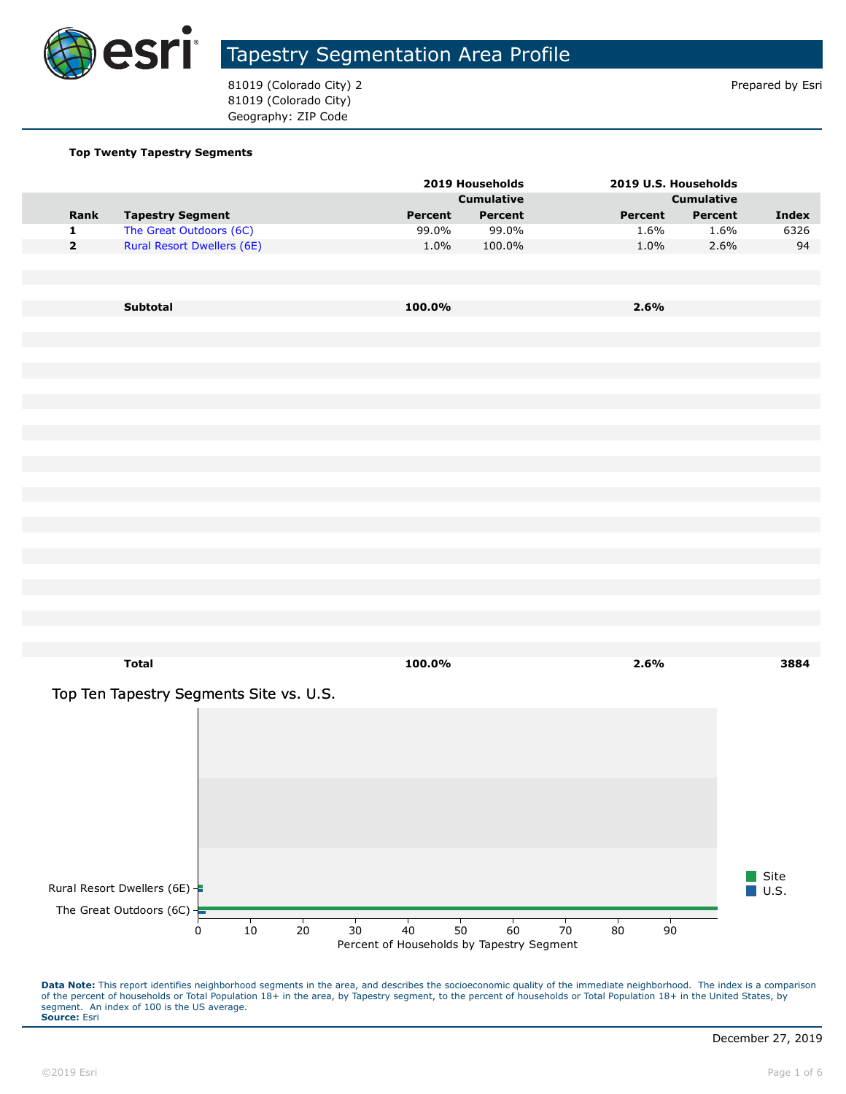

81019 (Colorado City) 2 and 31019 (Colorado City) 2 81019 (Colorado City) Geography: ZIP Code

#### **Top Twenty Tapestry Segments**

|             |                                         |         | 2019 Households   | 2019 U.S. Households |                   |                             |
|-------------|-----------------------------------------|---------|-------------------|----------------------|-------------------|-----------------------------|
|             |                                         |         | <b>Cumulative</b> |                      | <b>Cumulative</b> |                             |
| Rank        | <b>Tapestry Segment</b>                 | Percent | Percent           | Percent              | Percent           | <b>Index</b>                |
| $\mathbf 1$ | The Great Outdoors (6C)                 | 99.0%   | 99.0%             | 1.6%                 | 1.6%              | 6326                        |
| $\mathbf 2$ | <b>Rural Resort Dwellers (6E)</b>       | 1.0%    | 100.0%            | 1.0%                 | 2.6%              |                             |
|             |                                         |         |                   |                      |                   |                             |
|             | Subtotal                                | 100.0%  |                   | 2.6%                 |                   |                             |
|             |                                         |         |                   |                      |                   |                             |
|             |                                         |         |                   |                      |                   |                             |
|             |                                         |         |                   |                      |                   |                             |
|             |                                         |         |                   |                      |                   |                             |
|             |                                         |         |                   |                      |                   |                             |
|             |                                         |         |                   |                      |                   |                             |
|             |                                         |         |                   |                      |                   |                             |
|             |                                         |         |                   |                      |                   |                             |
|             |                                         |         |                   |                      |                   |                             |
|             |                                         |         |                   |                      |                   |                             |
|             |                                         |         |                   |                      |                   |                             |
|             |                                         |         |                   |                      |                   |                             |
|             |                                         |         |                   |                      |                   |                             |
|             |                                         |         |                   |                      |                   |                             |
|             | <b>Total</b>                            | 100.0%  |                   | 2.6%                 |                   | 3884                        |
|             | Top Ten Tapestry Segments Site vs. U.S. |         |                   |                      |                   |                             |
|             |                                         |         |                   |                      |                   |                             |
|             |                                         |         |                   |                      |                   |                             |
|             |                                         |         |                   |                      |                   |                             |
|             |                                         |         |                   |                      |                   |                             |
|             |                                         |         |                   |                      |                   |                             |
|             |                                         |         |                   |                      |                   |                             |
|             |                                         |         |                   |                      |                   |                             |
|             | Rural Resort Dwellers (6E) -            |         |                   |                      |                   | Site<br>$\blacksquare$ U.S. |
|             |                                         |         |                   |                      |                   |                             |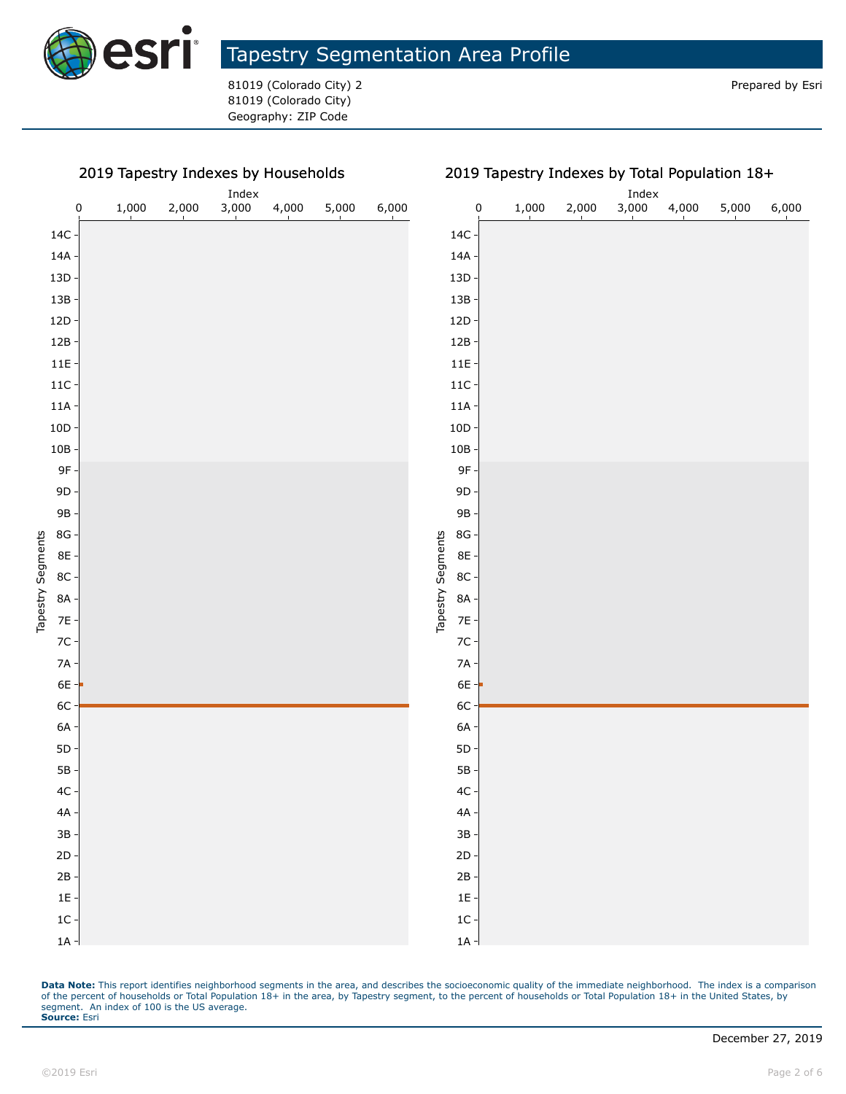

81019 (Colorado City) 2 **Prepared by Estimate and American** Prepared by Esri 81019 (Colorado City) Geography: ZIP Code

#### 2019 Tapestry Indexes by Households

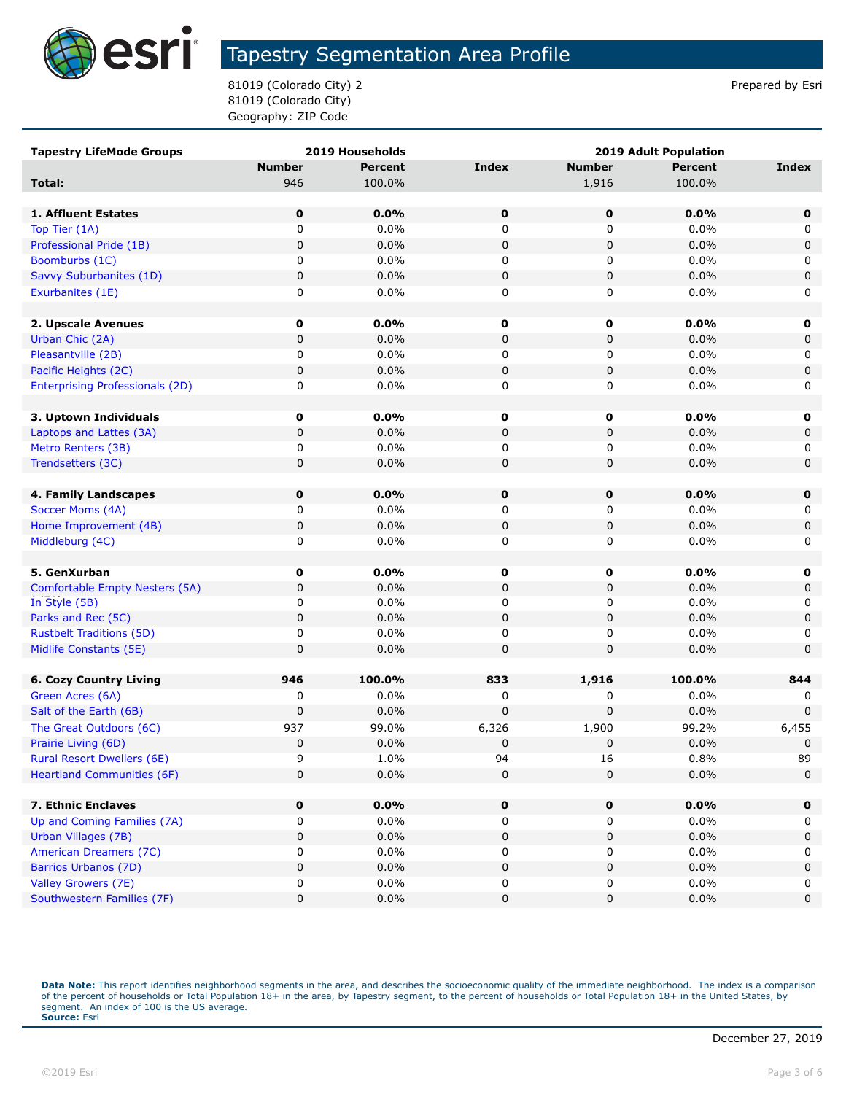

81019 (Colorado City) 2 and 31019 (Colorado City) 2 81019 (Colorado City) Geography: ZIP Code

| <b>Tapestry LifeMode Groups</b>        | 2019 Households |                | <b>2019 Adult Population</b> |               |                |              |
|----------------------------------------|-----------------|----------------|------------------------------|---------------|----------------|--------------|
|                                        | <b>Number</b>   | <b>Percent</b> | <b>Index</b>                 | <b>Number</b> | <b>Percent</b> | <b>Index</b> |
| Total:                                 | 946             | 100.0%         |                              | 1,916         | 100.0%         |              |
|                                        |                 |                |                              |               |                |              |
| 1. Affluent Estates                    | 0               | 0.0%           | $\mathbf 0$                  | $\mathbf 0$   | 0.0%           | 0            |
| Top Tier (1A)                          | $\mathbf 0$     | 0.0%           | 0                            | 0             | 0.0%           | 0            |
| Professional Pride (1B)                | $\mathbf 0$     | 0.0%           | 0                            | 0             | 0.0%           | 0            |
| Boomburbs (1C)                         | 0               | 0.0%           | 0                            | 0             | 0.0%           | 0            |
| Savvy Suburbanites (1D)                | 0               | 0.0%           | 0                            | 0             | 0.0%           | 0            |
| Exurbanites (1E)                       | 0               | $0.0\%$        | 0                            | 0             | 0.0%           | 0            |
|                                        |                 |                |                              |               |                |              |
| 2. Upscale Avenues                     | 0               | 0.0%           | 0                            | 0             | $0.0\%$        | 0            |
| Urban Chic (2A)                        | 0               | 0.0%           | 0                            | 0             | 0.0%           | 0            |
| Pleasantville (2B)                     | 0               | 0.0%           | 0                            | 0             | 0.0%           | 0            |
| Pacific Heights (2C)                   | 0               | 0.0%           | 0                            | 0             | 0.0%           | 0            |
| <b>Enterprising Professionals (2D)</b> | 0               | 0.0%           | 0                            | 0             | 0.0%           | 0            |
|                                        |                 |                |                              |               |                |              |
| 3. Uptown Individuals                  | 0               | $0.0\%$        | 0                            | 0             | $0.0\%$        | 0            |
| Laptops and Lattes (3A)                | 0               | 0.0%           | 0                            | 0             | 0.0%           | 0            |
| Metro Renters (3B)                     | 0               | 0.0%           | 0                            | 0             | 0.0%           | 0            |
| Trendsetters (3C)                      | 0               | 0.0%           | 0                            | 0             | 0.0%           | 0            |
|                                        |                 |                |                              |               |                |              |
| 4. Family Landscapes                   | $\mathbf 0$     | 0.0%           | $\mathbf 0$                  | $\mathbf 0$   | 0.0%           | 0            |
| Soccer Moms (4A)                       | 0               | 0.0%           | 0                            | 0             | 0.0%           | 0            |
| Home Improvement (4B)                  | 0               | 0.0%           | 0                            | 0             | 0.0%           | 0            |
| Middleburg (4C)                        | 0               | 0.0%           | 0                            | 0             | 0.0%           | 0            |
|                                        |                 |                |                              |               |                |              |
| 5. GenXurban                           | 0               | 0.0%           | 0                            | $\mathbf 0$   | $0.0\%$        | 0            |
| Comfortable Empty Nesters (5A)         | 0               | 0.0%           | 0                            | 0             | 0.0%           | 0            |
| In Style (5B)                          | 0               | 0.0%           | 0                            | 0             | 0.0%           | 0            |
| Parks and Rec (5C)                     | 0               | 0.0%           | 0                            | 0             | 0.0%           | 0            |
| <b>Rustbelt Traditions (5D)</b>        | 0               | $0.0\%$        | 0                            | 0             | 0.0%           | 0            |
| Midlife Constants (5E)                 | 0               | 0.0%           | 0                            | 0             | 0.0%           | 0            |
|                                        |                 |                |                              |               |                |              |
| <b>6. Cozy Country Living</b>          | 946             | 100.0%         | 833                          | 1,916         | 100.0%         | 844          |
| Green Acres (6A)                       | 0               | 0.0%           | 0                            | 0             | 0.0%           | 0            |
| Salt of the Earth (6B)                 | 0               | 0.0%           | 0                            | 0             | 0.0%           | $\mathbf 0$  |
| The Great Outdoors (6C)                | 937             | 99.0%          | 6,326                        | 1,900         | 99.2%          | 6,455        |
| Prairie Living (6D)                    | $\pmb{0}$       | 0.0%           | 0                            | 0             | 0.0%           | $\mathbf 0$  |
| <b>Rural Resort Dwellers (6E)</b>      | q               | 1.0%           | 94                           | 16            | 0.8%           | 89           |
| <b>Heartland Communities (6F)</b>      | 0               | $0.0\%$        | 0                            | 0             | 0.0%           | 0            |
|                                        |                 |                |                              |               |                |              |
| 7. Ethnic Enclaves                     | 0               | 0.0%           | 0                            | 0             | 0.0%           | 0            |
| Up and Coming Families (7A)            | 0               | 0.0%           | 0                            | 0             | $0.0\%$        | 0            |
| Urban Villages (7B)                    | 0               | $0.0\%$        | 0                            | 0             | 0.0%           | 0            |
| American Dreamers (7C)                 | 0               | $0.0\%$        | 0                            | 0             | 0.0%           | 0            |
| Barrios Urbanos (7D)                   | 0               | $0.0\%$        | 0                            | 0             | 0.0%           | 0            |
| Valley Growers (7E)                    | 0               | $0.0\%$        | 0                            | 0             | $0.0\%$        | 0            |
| Southwestern Families (7F)             | 0               | $0.0\%$        | 0                            | 0             | 0.0%           | 0            |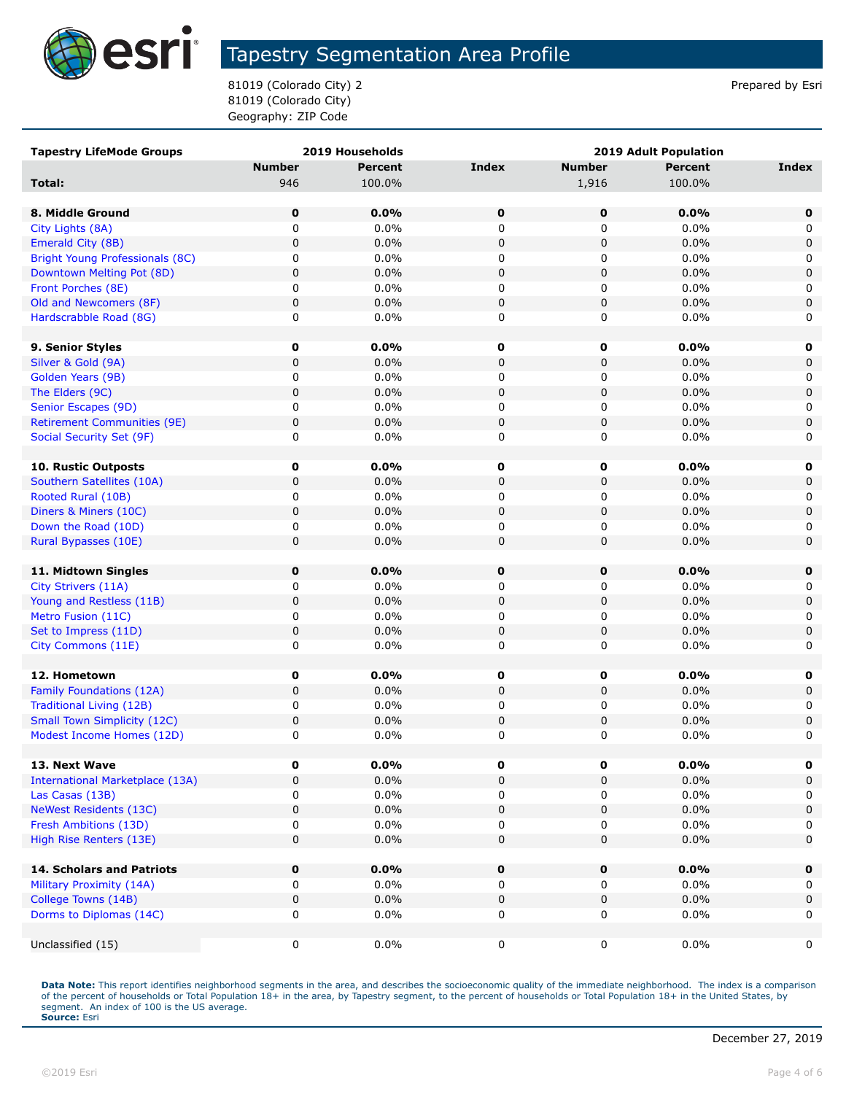

81019 (Colorado City) 2 and 31019 (Colorado City) 2 81019 (Colorado City) Geography: ZIP Code

| <b>Tapestry LifeMode Groups</b>                  | 2019 Households |                |             | <b>2019 Adult Population</b> |                |             |  |
|--------------------------------------------------|-----------------|----------------|-------------|------------------------------|----------------|-------------|--|
|                                                  | <b>Number</b>   | <b>Percent</b> | Index       | <b>Number</b>                | <b>Percent</b> | Index       |  |
| Total:                                           | 946             | 100.0%         |             | 1,916                        | 100.0%         |             |  |
|                                                  |                 |                |             |                              |                |             |  |
| 8. Middle Ground                                 | $\mathbf 0$     | 0.0%           | 0           | 0                            | 0.0%           | 0           |  |
| City Lights (8A)                                 | 0               | 0.0%           | 0           | 0                            | 0.0%           | 0           |  |
| Emerald City (8B)                                | 0               | 0.0%           | $\mathbf 0$ | $\pmb{0}$                    | 0.0%           | 0           |  |
| Bright Young Professionals (8C)                  | 0               | 0.0%           | 0           | 0                            | $0.0\%$        | 0           |  |
| Downtown Melting Pot (8D)                        | 0               | 0.0%           | 0           | 0                            | 0.0%           | $\mathbf 0$ |  |
| Front Porches (8E)                               | 0               | 0.0%           | 0           | 0                            | 0.0%           | 0           |  |
| Old and Newcomers (8F)                           | 0               | 0.0%           | 0           | 0                            | 0.0%           | $\mathbf 0$ |  |
| Hardscrabble Road (8G)                           | 0               | 0.0%           | 0           | 0                            | 0.0%           | 0           |  |
|                                                  |                 |                |             |                              |                |             |  |
| 9. Senior Styles                                 | 0               | $0.0\%$        | 0           | 0                            | 0.0%           | $\mathbf 0$ |  |
| Silver & Gold (9A)                               | 0               | 0.0%           | $\mathbf 0$ | 0                            | 0.0%           | $\mathbf 0$ |  |
| Golden Years (9B)                                | 0               | 0.0%           | 0           | 0                            | 0.0%           | 0           |  |
| The Elders (9C)                                  | 0               | 0.0%           | $\pmb{0}$   | $\pmb{0}$                    | 0.0%           | $\mathsf 0$ |  |
| Senior Escapes (9D)                              | 0               | 0.0%           | 0           | 0                            | $0.0\%$        | 0           |  |
| <b>Retirement Communities (9E)</b>               | 0               | 0.0%           | 0           | 0                            | 0.0%           | $\mathsf 0$ |  |
| Social Security Set (9F)                         | 0               | $0.0\%$        | 0           | 0                            | 0.0%           | 0           |  |
|                                                  |                 |                |             |                              |                |             |  |
| 10. Rustic Outposts                              | 0               | 0.0%           | 0           | 0                            | $0.0\%$        | 0           |  |
| Southern Satellites (10A)                        | 0               | 0.0%           | 0           | 0                            | 0.0%           | $\mathbf 0$ |  |
| Rooted Rural (10B)                               | 0               | 0.0%           | 0           | 0                            | 0.0%           | 0           |  |
| Diners & Miners (10C)                            | 0               | 0.0%           | $\mathbf 0$ | 0                            | 0.0%           | $\mathbf 0$ |  |
| Down the Road (10D)                              | 0               | 0.0%           | 0           | 0                            | 0.0%           | 0           |  |
| Rural Bypasses (10E)                             | 0               | 0.0%           | 0           | $\mathbf 0$                  | 0.0%           | $\mathbf 0$ |  |
|                                                  |                 |                |             |                              |                |             |  |
| 11. Midtown Singles                              | 0               | 0.0%           | 0           | $\mathbf 0$                  | 0.0%           | 0           |  |
| City Strivers (11A)                              | 0               | $0.0\%$        | 0           | 0                            | 0.0%           | 0           |  |
| Young and Restless (11B)                         | 0               | 0.0%           | 0           | 0                            | 0.0%           | $\mathbf 0$ |  |
| Metro Fusion (11C)                               | 0               | 0.0%           | 0           | 0                            | 0.0%           | 0           |  |
| Set to Impress (11D)                             | 0               | 0.0%           | 0           | 0                            | 0.0%           | $\mathbf 0$ |  |
| City Commons (11E)                               | 0               | 0.0%           | 0           | 0                            | 0.0%           | 0           |  |
|                                                  |                 |                |             |                              |                |             |  |
| 12. Hometown                                     | 0               | 0.0%           | $\pmb{0}$   | 0                            | 0.0%           | 0           |  |
| Family Foundations (12A)                         | 0               | 0.0%           | $\mathbf 0$ | 0                            | 0.0%           | 0           |  |
| Traditional Living (12B)                         | 0               | 0.0%           | 0           | 0                            | 0.0%           | 0           |  |
| <b>Small Town Simplicity (12C)</b>               | 0               | 0.0%           | 0           | 0                            | 0.0%           | $\mathbf 0$ |  |
| Modest Income Homes (12D)                        | 0               | 0.0%           | 0           | 0                            | 0.0%           | 0           |  |
| 13. Next Wave                                    | 0               | $0.0\%$        | $\pmb{0}$   |                              | $0.0\%$        | 0           |  |
| <b>International Marketplace (13A)</b>           | 0               | 0.0%           | $\mathbf 0$ | 0<br>0                       | 0.0%           | $\mathbf 0$ |  |
|                                                  | 0               | $0.0\%$        |             |                              | 0.0%           |             |  |
| Las Casas (13B)<br><b>NeWest Residents (13C)</b> | 0               | 0.0%           | 0<br>0      | 0<br>0                       | 0.0%           | 0<br>0      |  |
|                                                  | 0               | 0.0%           | 0           | 0                            | 0.0%           |             |  |
| Fresh Ambitions (13D)                            | 0               |                |             | 0                            |                | 0           |  |
| High Rise Renters (13E)                          |                 | 0.0%           | 0           |                              | 0.0%           | $\mathbf 0$ |  |
| 14. Scholars and Patriots                        | 0               | 0.0%           | $\mathbf 0$ | 0                            | 0.0%           | $\mathbf 0$ |  |
| Military Proximity (14A)                         | 0               | $0.0\%$        | 0           | 0                            | $0.0\%$        | 0           |  |
| College Towns (14B)                              | 0               | 0.0%           | $\pmb{0}$   | 0                            | 0.0%           | $\mathbf 0$ |  |
| Dorms to Diplomas (14C)                          | 0               | 0.0%           | 0           | 0                            | 0.0%           | 0           |  |
|                                                  |                 |                |             |                              |                |             |  |
| Unclassified (15)                                | 0               | $0.0\%$        | 0           | 0                            | $0.0\%$        | 0           |  |
|                                                  |                 |                |             |                              |                |             |  |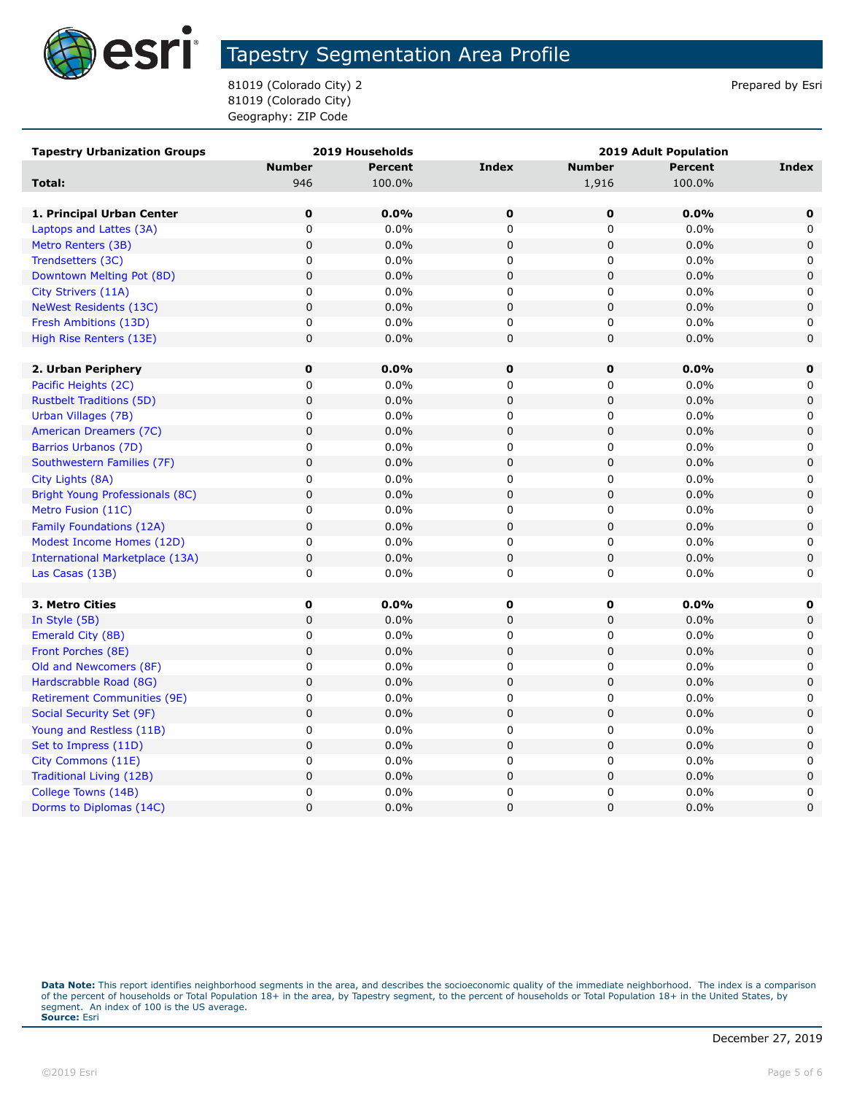

81019 (Colorado City) 2 and 31019 (Colorado City) 2 81019 (Colorado City) Geography: ZIP Code

| <b>Tapestry Urbanization Groups</b> | 2019 Households |                | <b>2019 Adult Population</b> |               |                |             |
|-------------------------------------|-----------------|----------------|------------------------------|---------------|----------------|-------------|
|                                     | <b>Number</b>   | <b>Percent</b> | <b>Index</b>                 | <b>Number</b> | <b>Percent</b> | Index       |
| <b>Total:</b>                       | 946             | 100.0%         |                              | 1,916         | 100.0%         |             |
|                                     |                 |                |                              |               |                |             |
| 1. Principal Urban Center           | $\mathbf 0$     | 0.0%           | $\mathbf 0$                  | $\mathbf 0$   | 0.0%           | $\mathbf 0$ |
| Laptops and Lattes (3A)             | 0               | 0.0%           | 0                            | 0             | 0.0%           | 0           |
| Metro Renters (3B)                  | $\pmb{0}$       | 0.0%           | $\mathbf 0$                  | 0             | 0.0%           | $\mathbf 0$ |
| Trendsetters (3C)                   | 0               | $0.0\%$        | 0                            | 0             | 0.0%           | 0           |
| Downtown Melting Pot (8D)           | $\pmb{0}$       | 0.0%           | $\pmb{0}$                    | 0             | 0.0%           | $\pmb{0}$   |
| City Strivers (11A)                 | 0               | 0.0%           | $\mathbf 0$                  | 0             | 0.0%           | 0           |
| NeWest Residents (13C)              | $\mathbf 0$     | 0.0%           | $\pmb{0}$                    | $\mathsf 0$   | 0.0%           | $\pmb{0}$   |
| Fresh Ambitions (13D)               | 0               | 0.0%           | 0                            | 0             | 0.0%           | 0           |
| High Rise Renters (13E)             | 0               | 0.0%           | $\mathbf 0$                  | 0             | 0.0%           | 0           |
|                                     |                 |                |                              |               |                |             |
| 2. Urban Periphery                  | $\mathbf 0$     | $0.0\%$        | $\mathbf 0$                  | 0             | 0.0%           | $\mathbf 0$ |
| Pacific Heights (2C)                | 0               | $0.0\%$        | 0                            | 0             | 0.0%           | 0           |
| <b>Rustbelt Traditions (5D)</b>     | $\mathsf 0$     | 0.0%           | $\mathsf 0$                  | $\mathsf 0$   | 0.0%           | $\pmb{0}$   |
| Urban Villages (7B)                 | 0               | 0.0%           | 0                            | 0             | 0.0%           | 0           |
| American Dreamers (7C)              | $\pmb{0}$       | 0.0%           | $\mathbf 0$                  | 0             | 0.0%           | $\mathbf 0$ |
| Barrios Urbanos (7D)                | 0               | $0.0\%$        | 0                            | 0             | 0.0%           | 0           |
| Southwestern Families (7F)          | $\pmb{0}$       | 0.0%           | $\mathbf 0$                  | 0             | 0.0%           | $\mathbf 0$ |
| City Lights (8A)                    | 0               | 0.0%           | 0                            | 0             | 0.0%           | 0           |
| Bright Young Professionals (8C)     | 0               | 0.0%           | $\mathbf 0$                  | 0             | 0.0%           | $\mathbf 0$ |
| Metro Fusion (11C)                  | 0               | $0.0\%$        | 0                            | 0             | 0.0%           | 0           |
| Family Foundations (12A)            | $\pmb{0}$       | 0.0%           | $\pmb{0}$                    | 0             | 0.0%           | $\mathbf 0$ |
| Modest Income Homes (12D)           | 0               | 0.0%           | $\pmb{0}$                    | 0             | 0.0%           | 0           |
| International Marketplace (13A)     | 0               | 0.0%           | $\mathsf 0$                  | 0             | 0.0%           | $\mathbf 0$ |
| Las Casas (13B)                     | 0               | 0.0%           | 0                            | 0             | 0.0%           | 0           |
|                                     |                 |                |                              |               |                |             |
| 3. Metro Cities                     | $\mathbf 0$     | $0.0\%$        | 0                            | 0             | 0.0%           | 0           |
| In Style (5B)                       | $\mathbf 0$     | 0.0%           | $\pmb{0}$                    | 0             | 0.0%           | $\mathbf 0$ |
| Emerald City (8B)                   | $\pmb{0}$       | $0.0\%$        | $\pmb{0}$                    | 0             | 0.0%           | 0           |
| Front Porches (8E)                  | $\pmb{0}$       | 0.0%           | $\pmb{0}$                    | 0             | 0.0%           | 0           |
| Old and Newcomers (8F)              | $\pmb{0}$       | 0.0%           | 0                            | 0             | 0.0%           | $\Omega$    |
| Hardscrabble Road (8G)              | $\pmb{0}$       | 0.0%           | $\pmb{0}$                    | $\pmb{0}$     | 0.0%           | $\mathbf 0$ |
| <b>Retirement Communities (9E)</b>  | 0               | 0.0%           | 0                            | 0             | 0.0%           | 0           |
| Social Security Set (9F)            | $\pmb{0}$       | 0.0%           | $\mathbf 0$                  | $\pmb{0}$     | 0.0%           | $\mathbf 0$ |
| Young and Restless (11B)            | 0               | $0.0\%$        | 0                            | 0             | 0.0%           | 0           |
| Set to Impress (11D)                | $\pmb{0}$       | 0.0%           | $\pmb{0}$                    | $\pmb{0}$     | 0.0%           | $\mathbf 0$ |
| City Commons (11E)                  | $\pmb{0}$       | 0.0%           | $\pmb{0}$                    | 0             | 0.0%           | 0           |
| Traditional Living (12B)            | $\pmb{0}$       | 0.0%           | $\mathbf 0$                  | 0             | 0.0%           | 0           |
| College Towns (14B)                 | 0               | 0.0%           | $\mathsf 0$                  | 0             | 0.0%           | 0           |
| Dorms to Diplomas (14C)             | 0               | 0.0%           | $\mathbf 0$                  | 0             | 0.0%           | $\mathbf 0$ |